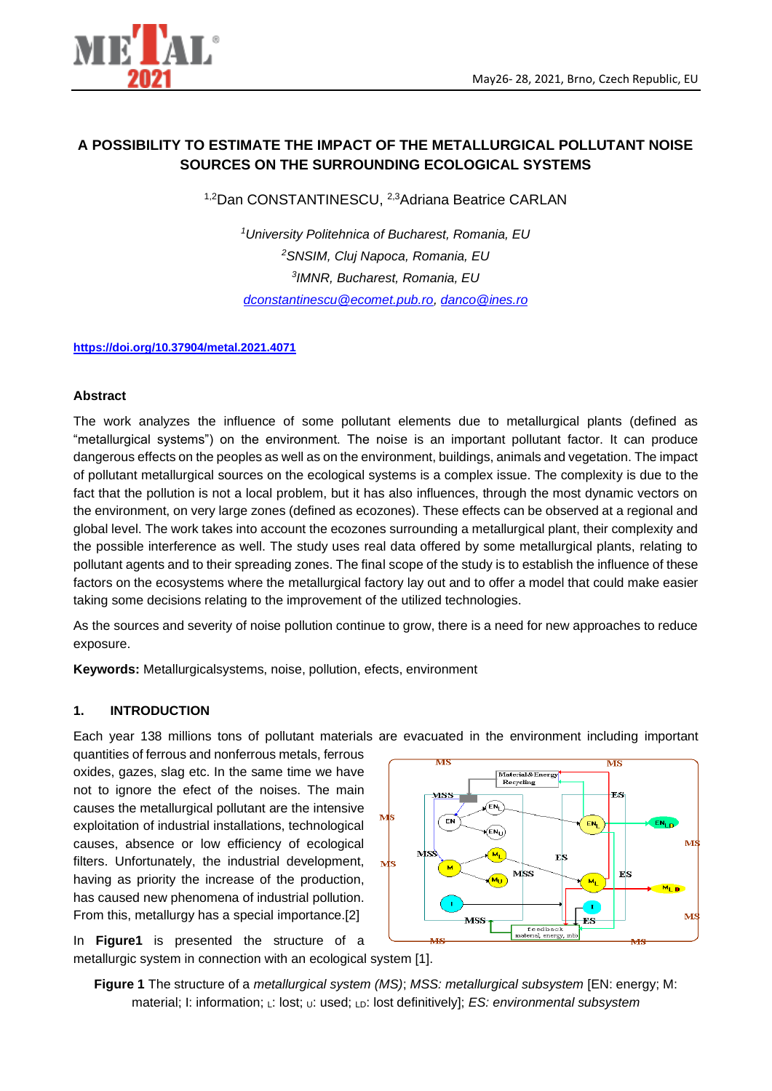

# **A POSSIBILITY TO ESTIMATE THE IMPACT OF THE METALLURGICAL POLLUTANT NOISE SOURCES ON THE SURROUNDING ECOLOGICAL SYSTEMS**

1,2Dan CONSTANTINESCU, <sup>2,3</sup>Adriana Beatrice CARLAN

*University Politehnica of Bucharest, Romania, EU SNSIM, Cluj Napoca, Romania, EU IMNR, Bucharest, Romania, EU [dconstantinescu@ecomet.pub.ro,](mailto:dconstantinescu@ecomet.pub.ro) [danco@ines.ro](mailto:danco@ines.ro)*

### **<https://doi.org/10.37904/metal.2021.4071>**

### **Abstract**

The work analyzes the influence of some pollutant elements due to metallurgical plants (defined as "metallurgical systems") on the environment. The noise is an important pollutant factor. It can produce dangerous effects on the peoples as well as on the environment, buildings, animals and vegetation. The impact of pollutant metallurgical sources on the ecological systems is a complex issue. The complexity is due to the fact that the pollution is not a local problem, but it has also influences, through the most dynamic vectors on the environment, on very large zones (defined as ecozones). These effects can be observed at a regional and global level. The work takes into account the ecozones surrounding a metallurgical plant, their complexity and the possible interference as well. The study uses real data offered by some metallurgical plants, relating to pollutant agents and to their spreading zones. The final scope of the study is to establish the influence of these factors on the ecosystems where the metallurgical factory lay out and to offer a model that could make easier taking some decisions relating to the improvement of the utilized technologies.

As the sources and severity of noise pollution continue to grow, there is a need for new approaches to reduce exposure.

**Keywords:** Metallurgicalsystems, noise, pollution, efects, environment

### **1. INTRODUCTION**

Each year 138 millions tons of pollutant materials are evacuated in the environment including important

quantities of ferrous and nonferrous metals, ferrous oxides, gazes, slag etc. In the same time we have not to ignore the efect of the noises. The main causes the metallurgical pollutant are the intensive exploitation of industrial installations, technological causes, absence or low efficiency of ecological filters. Unfortunately, the industrial development, having as priority the increase of the production, has caused new phenomena of industrial pollution. From this, metallurgy has a special importance.[2]

In **Figure1** is presented the structure of a metallurgic system in connection with an ecological system [1].



**Figure 1** The structure of a *metallurgical system (MS)*; *MSS: metallurgical subsystem* [EN: energy; M: material; I: information; L: lost; U: used; LD: lost definitively]; *ES: environmental subsystem*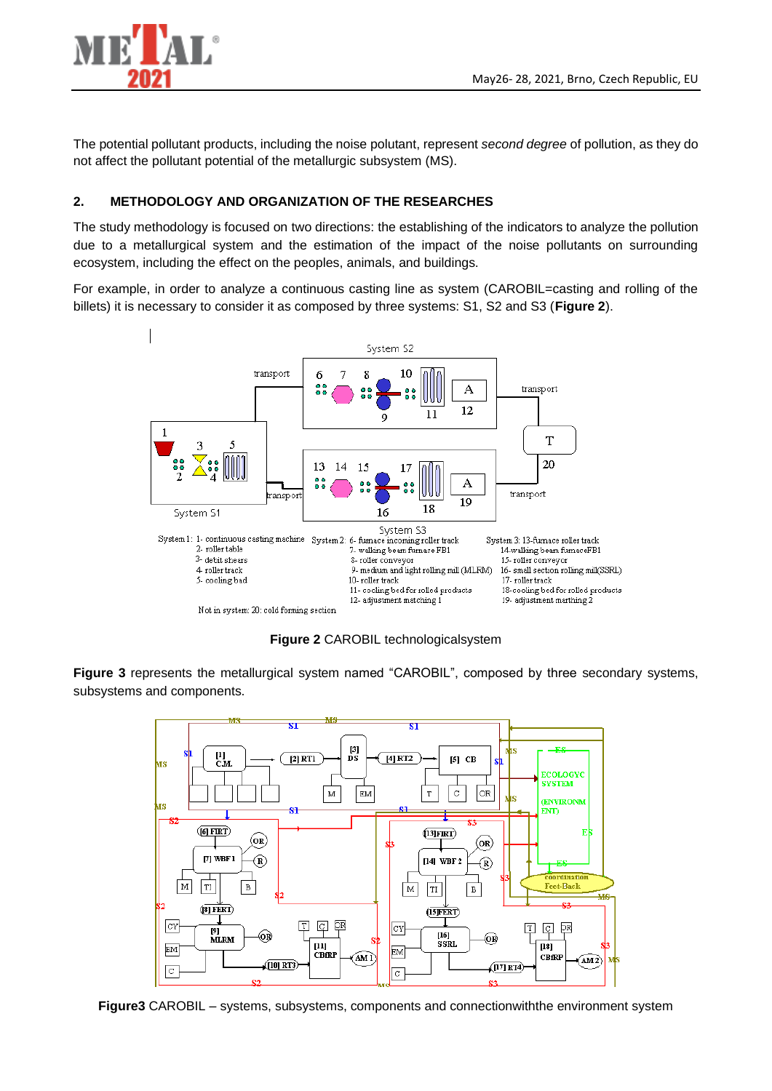

The potential pollutant products, including the noise polutant, represent *second degree* of pollution, as they do not affect the pollutant potential of the metallurgic subsystem (MS).

## **2. METHODOLOGY AND ORGANIZATION OF THE RESEARCHES**

The study methodology is focused on two directions: the establishing of the indicators to analyze the pollution due to a metallurgical system and the estimation of the impact of the noise pollutants on surrounding ecosystem, including the effect on the peoples, animals, and buildings.

For example, in order to analyze a continuous casting line as system (CAROBIL=casting and rolling of the billets) it is necessary to consider it as composed by three systems: S1, S2 and S3 (**Figure 2**).



**Figure 2** CAROBIL technologicalsystem

**Figure 3** represents the metallurgical system named "CAROBIL", composed by three secondary systems, subsystems and components.



**Figure3** CAROBIL – systems, subsystems, components and connectionwiththe environment system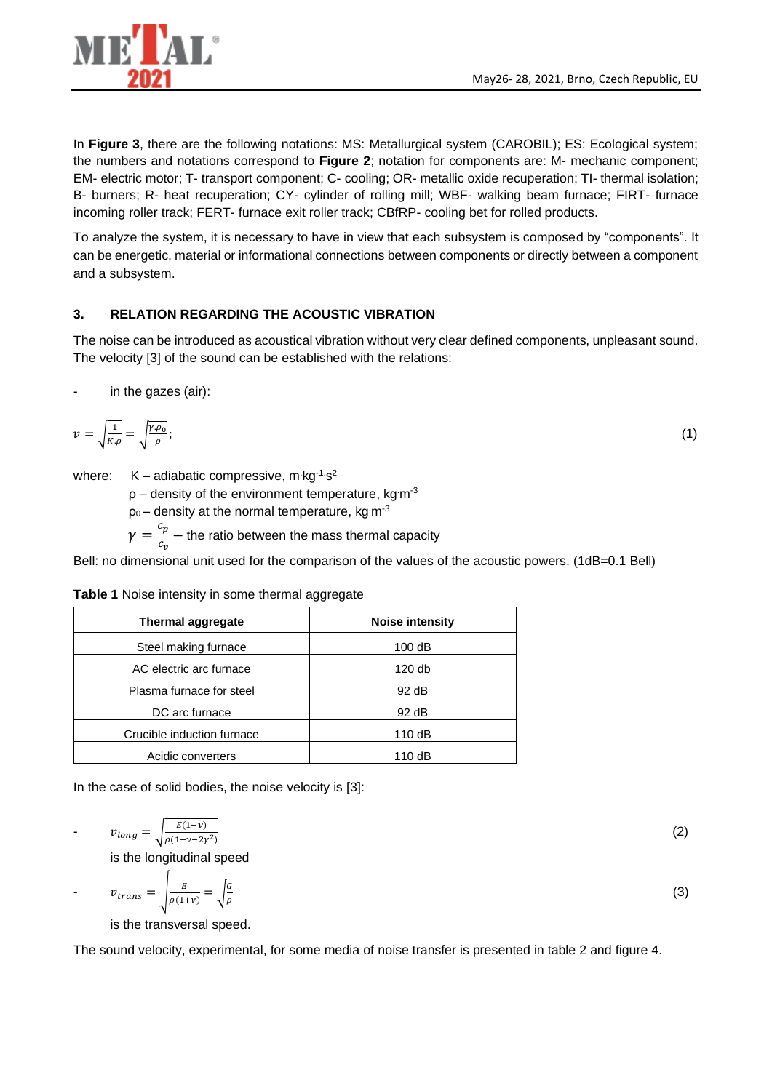

In **Figure 3**, there are the following notations: MS: Metallurgical system (CAROBIL); ES: Ecological system; the numbers and notations correspond to **Figure 2**; notation for components are: M- mechanic component; EM- electric motor; T- transport component; C- cooling; OR- metallic oxide recuperation; TI- thermal isolation; B- burners; R- heat recuperation; CY- cylinder of rolling mill; WBF- walking beam furnace; FIRT- furnace incoming roller track; FERT- furnace exit roller track; CBfRP- cooling bet for rolled products.

To analyze the system, it is necessary to have in view that each subsystem is composed by "components". It can be energetic, material or informational connections between components or directly between a component and a subsystem.

## **3. RELATION REGARDING THE ACOUSTIC VIBRATION**

The noise can be introduced as acoustical vibration without very clear defined components, unpleasant sound. The velocity [3] of the sound can be established with the relations:

in the gazes (air):

$$
v = \sqrt{\frac{1}{K \rho}} = \sqrt{\frac{\gamma \rho_0}{\rho}};
$$
\n(1)

where:  $K -$  adiabatic compressive, m kg<sup>-1.</sup>s<sup>2</sup>

 $p -$  density of the environment temperature, kg m<sup>-3</sup>

 $p_0$  – density at the normal temperature, kg m<sup>-3</sup>

 $\gamma=\frac{c_p}{a}$  $\frac{c_p}{c_v}$  – the ratio between the mass thermal capacity

Bell: no dimensional unit used for the comparison of the values of the acoustic powers. (1dB=0.1 Bell)

|  |  |  |  |  | Table 1 Noise intensity in some thermal aggregate |
|--|--|--|--|--|---------------------------------------------------|
|--|--|--|--|--|---------------------------------------------------|

| Thermal aggregate          | <b>Noise intensity</b> |  |
|----------------------------|------------------------|--|
| Steel making furnace       | 100dB                  |  |
| AC electric arc furnace    | 120 db                 |  |
| Plasma furnace for steel   | 92 dB                  |  |
| DC arc furnace             | 92 dB                  |  |
| Crucible induction furnace | 110 dB                 |  |
| Acidic converters          | 110 dB                 |  |

In the case of solid bodies, the noise velocity is [3]:

$$
v_{long} = \sqrt{\frac{E(1-v)}{\rho(1-v-2y^2)}}\tag{2}
$$

is the longitudinal speed

$$
v_{trans} = \sqrt{\frac{E}{\rho(1+v)}} = \sqrt{\frac{G}{\rho}}
$$
 (3)

is the transversal speed.

The sound velocity, experimental, for some media of noise transfer is presented in table 2 and figure 4.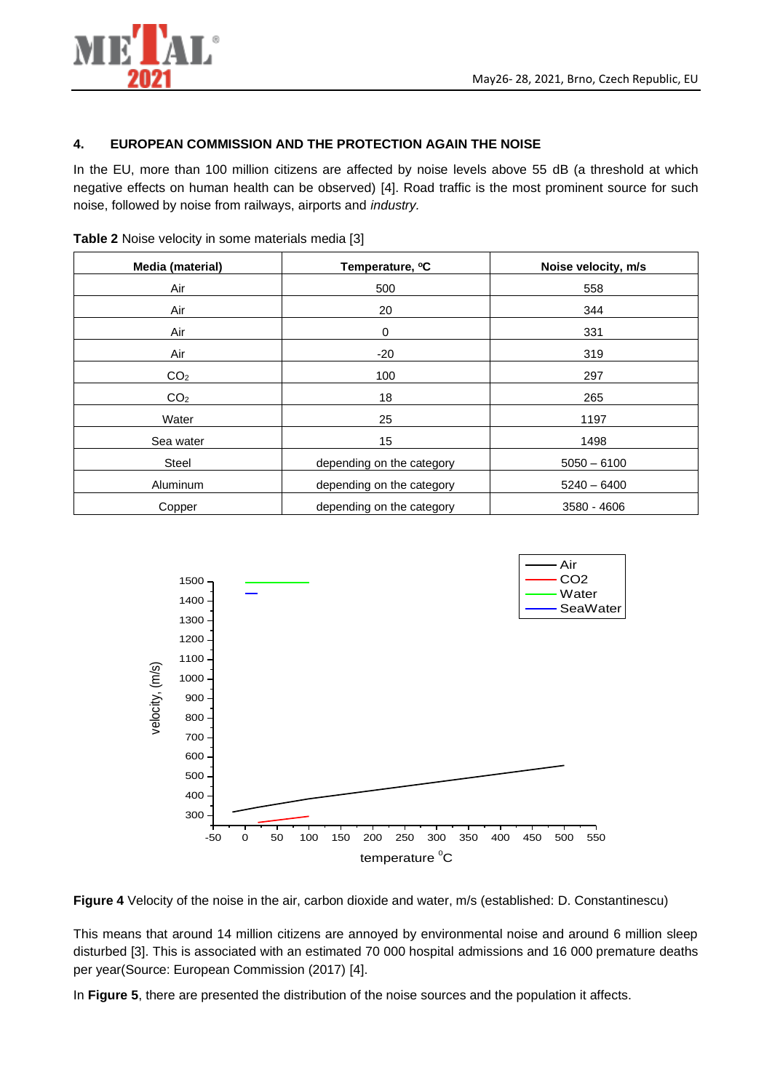

### **4. EUROPEAN COMMISSION AND THE PROTECTION AGAIN THE NOISE**

In the EU, more than 100 million citizens are affected by noise levels above 55 dB (a threshold at which negative effects on human health can be observed) [4]. Road traffic is the most prominent source for such noise, followed by noise from railways, airports and *industry.*

| Media (material) | Temperature, °C           | Noise velocity, m/s |
|------------------|---------------------------|---------------------|
| Air              | 500                       | 558                 |
| Air              | 20                        | 344                 |
| Air              | 0                         | 331                 |
| Air              | $-20$                     | 319                 |
| CO <sub>2</sub>  | 100                       | 297                 |
| CO <sub>2</sub>  | 18                        | 265                 |
| Water            | 25                        | 1197                |
| Sea water        | 15                        | 1498                |
| <b>Steel</b>     | depending on the category | $5050 - 6100$       |
| <b>Aluminum</b>  | depending on the category | $5240 - 6400$       |
| Copper           | depending on the category | 3580 - 4606         |

**Table 2** Noise velocity in some materials media [3]





This means that around 14 million citizens are annoyed by environmental noise and around 6 million sleep disturbed [3]. This is associated with an estimated 70 000 hospital admissions and 16 000 premature deaths per year(Source: European Commission (2017) [4].

In **Figure 5**, there are presented the distribution of the noise sources and the population it affects.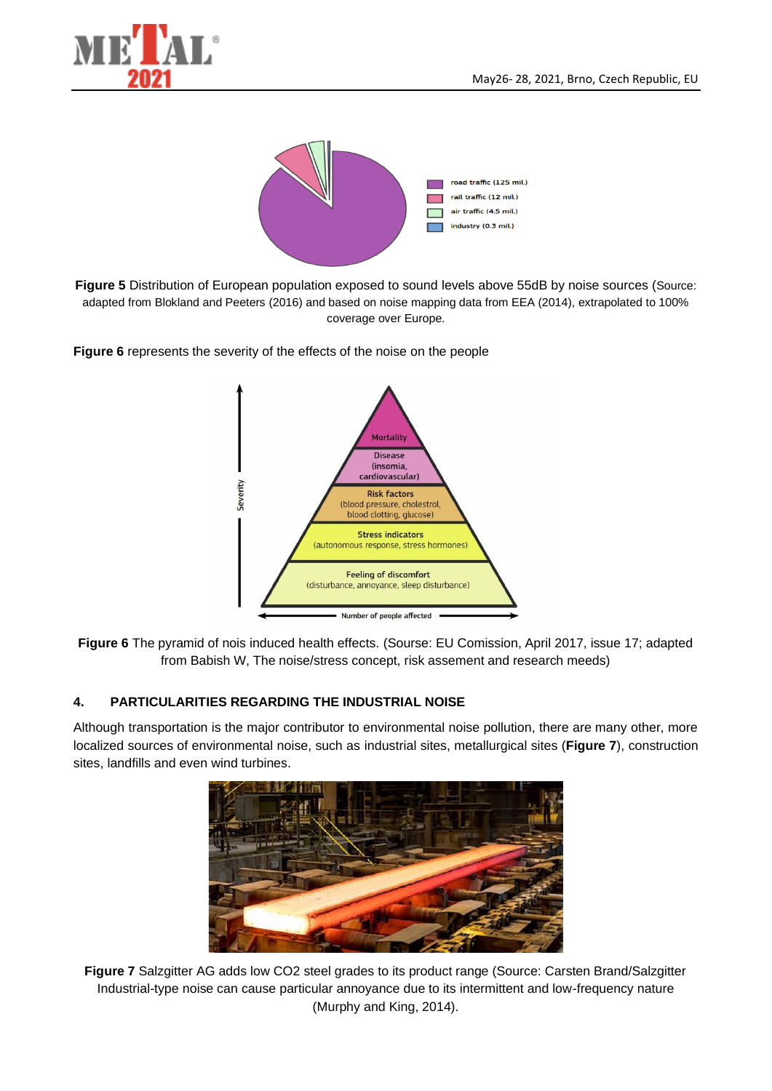



**Figure 5** Distribution of European population exposed to sound levels above 55dB by noise sources (Source: adapted from Blokland and Peeters (2016) and based on noise mapping data from EEA (2014), extrapolated to 100% coverage over Europe.





**Figure 6** The pyramid of nois induced health effects. (Sourse: EU Comission, April 2017, issue 17; adapted from Babish W, The noise/stress concept, risk assement and research meeds)

### **4. PARTICULARITIES REGARDING THE INDUSTRIAL NOISE**

Although transportation is the major contributor to environmental noise pollution, there are many other, more localized sources of environmental noise, such as industrial sites, metallurgical sites (**Figure 7**), construction sites, landfills and even wind turbines.



**Figure 7** Salzgitter AG adds low CO2 steel grades to its product range (Source: Carsten Brand/Salzgitter Industrial-type noise can cause particular annoyance due to its intermittent and low-frequency nature (Murphy and King, 2014).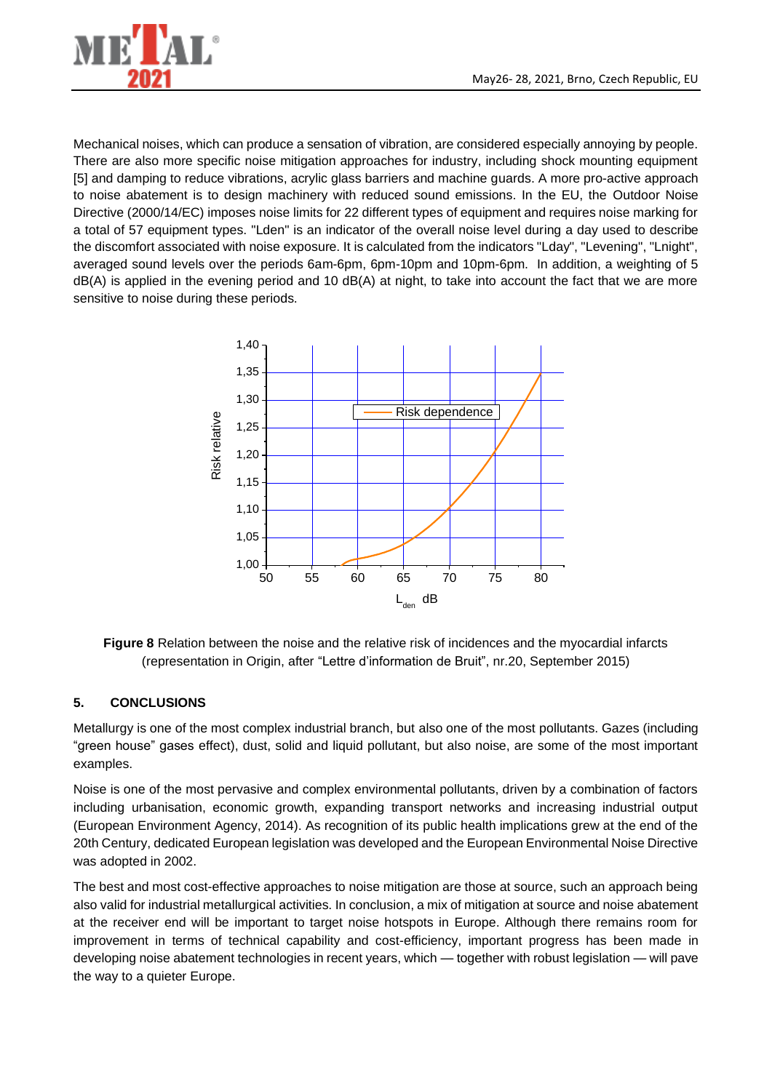

Mechanical noises, which can produce a sensation of vibration, are considered especially annoying by people. There are also more specific noise mitigation approaches for industry, including shock mounting equipment [5] and damping to reduce vibrations, acrylic glass barriers and machine guards. A more pro-active approach to noise abatement is to design machinery with reduced sound emissions. In the EU, the Outdoor Noise Directive (2000/14/EC) imposes noise limits for 22 different types of equipment and requires noise marking for a total of 57 equipment types. "Lden" is an indicator of the overall noise level during a day used to describe the discomfort associated with noise exposure. It is calculated from the indicators "Lday", "Levening", "Lnight", averaged sound levels over the periods 6am-6pm, 6pm-10pm and 10pm-6pm. In addition, a weighting of 5 dB(A) is applied in the evening period and 10 dB(A) at night, to take into account the fact that we are more sensitive to noise during these periods.



**Figure 8** Relation between the noise and the relative risk of incidences and the myocardial infarcts (representation in Origin, after "Lettre d'information de Bruit", nr.20, September 2015)

## **5. CONCLUSIONS**

Metallurgy is one of the most complex industrial branch, but also one of the most pollutants. Gazes (including "green house" gases effect), dust, solid and liquid pollutant, but also noise, are some of the most important examples.

Noise is one of the most pervasive and complex environmental pollutants, driven by a combination of factors including urbanisation, economic growth, expanding transport networks and increasing industrial output (European Environment Agency, 2014). As recognition of its public health implications grew at the end of the 20th Century, dedicated European legislation was developed and the European Environmental Noise Directive was adopted in 2002.

The best and most cost-effective approaches to noise mitigation are those at source, such an approach being also valid for industrial metallurgical activities. In conclusion, a mix of mitigation at source and noise abatement at the receiver end will be important to target noise hotspots in Europe. Although there remains room for improvement in terms of technical capability and cost-efficiency, important progress has been made in developing noise abatement technologies in recent years, which — together with robust legislation — will pave the way to a quieter Europe.